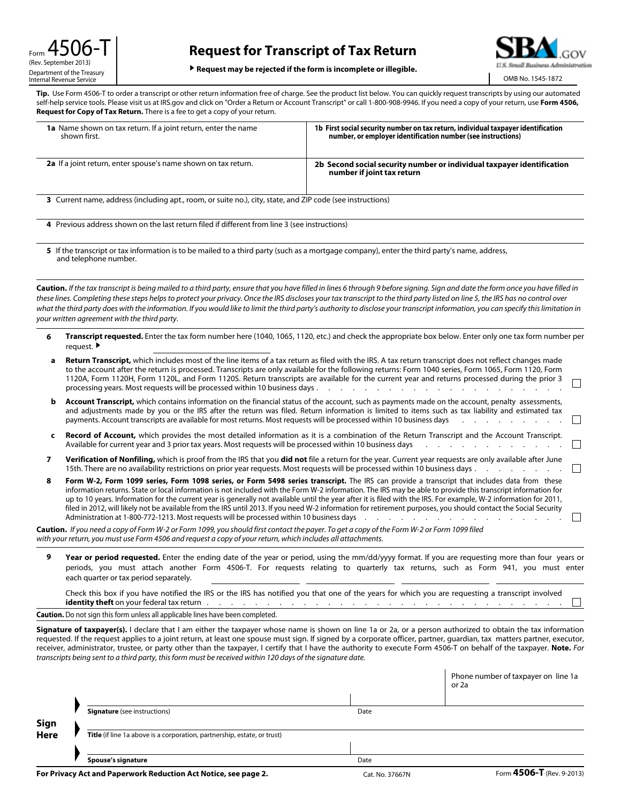## **Request for Transcript of Tax Return**



▶ **Request may be rejected if the form is incomplete or illegible.**

OMB No. 1545-1872

**Tip.** Use Form 4506-T to order a transcript or other return information free of charge. See the product list below. You can quickly request transcripts by using our automated self-help service tools. Please visit us at IRS.gov and click on "Order a Return or Account Transcript" or call 1-800-908-9946. If you need a copy of your return, use **Form 4506, Request for Copy of Tax Return.** There is a fee to get a copy of your return.

| <b>1a</b> Name shown on tax return. If a joint return, enter the name<br>shown first.                                                                                 | 1b First social security number on tax return, individual taxpayer identification<br>number, or employer identification number (see instructions)                                       |  |  |  |
|-----------------------------------------------------------------------------------------------------------------------------------------------------------------------|-----------------------------------------------------------------------------------------------------------------------------------------------------------------------------------------|--|--|--|
| 2a If a joint return, enter spouse's name shown on tax return.                                                                                                        | 2b Second social security number or individual taxpayer identification<br>number if joint tax return                                                                                    |  |  |  |
| 3 Current name, address (including apt., room, or suite no.), city, state, and ZIP code (see instructions)                                                            |                                                                                                                                                                                         |  |  |  |
| 4 Previous address shown on the last return filed if different from line 3 (see instructions)                                                                         |                                                                                                                                                                                         |  |  |  |
| 5 If the transcript or tax information is to be mailed to a third party (such as a mortgage company), enter the third party's name, address,<br>and telephone number. |                                                                                                                                                                                         |  |  |  |
|                                                                                                                                                                       | <b>Caution.</b> If the tax transcript is being mailed to a third party, ensure that you have filled in lines 6 through 9 before signing. Sign and date the form once you have filled in |  |  |  |

*these lines. Completing these steps helps to protect your privacy. Once the IRS discloses your tax transcript to the third party listed on line 5, the IRS has no control over what the third party does with the information. If you would like to limit the third party's authority to disclose your transcript information, you can specify this limitation in your written agreement with the third party*.

**6 Transcript requested.** Enter the tax form number here (1040, 1065, 1120, etc.) and check the appropriate box below. Enter only one tax form number per request. ▶

| a | <b>Return Transcript,</b> which includes most of the line items of a tax return as filed with the IRS. A tax return transcript does not reflect changes made<br>to the account after the return is processed. Transcripts are only available for the following returns: Form 1040 series, Form 1065, Form 1120, Form<br>1120A, Form 1120H, Form 1120L, and Form 1120S. Return transcripts are available for the current year and returns processed during the prior 3<br>processing years. Most requests will be processed within 10 business days.<br>the contract of the contract of the contract of the contract of the contract of the contract of the contract of                                                                                                                                                                                                                   |  |
|---|------------------------------------------------------------------------------------------------------------------------------------------------------------------------------------------------------------------------------------------------------------------------------------------------------------------------------------------------------------------------------------------------------------------------------------------------------------------------------------------------------------------------------------------------------------------------------------------------------------------------------------------------------------------------------------------------------------------------------------------------------------------------------------------------------------------------------------------------------------------------------------------|--|
|   | <b>Account Transcript,</b> which contains information on the financial status of the account, such as payments made on the account, penalty assessments,<br>and adjustments made by you or the IRS after the return was filed. Return information is limited to items such as tax liability and estimated tax<br>payments. Account transcripts are available for most returns. Most requests will be processed within 10 business days                                                                                                                                                                                                                                                                                                                                                                                                                                                   |  |
|   | <b>Record of Account,</b> which provides the most detailed information as it is a combination of the Return Transcript and the Account Transcript.<br>Available for current year and 3 prior tax years. Most requests will be processed within 10 business days enter the content of the content of the processed within 10 business days and the content of the content of the cont                                                                                                                                                                                                                                                                                                                                                                                                                                                                                                     |  |
|   | Verification of Nonfiling, which is proof from the IRS that you did not file a return for the year. Current year requests are only available after June<br>15th. There are no availability restrictions on prior year requests. Most requests will be processed within 10 business days                                                                                                                                                                                                                                                                                                                                                                                                                                                                                                                                                                                                  |  |
| 8 | Form W-2, Form 1099 series, Form 1098 series, or Form 5498 series transcript. The IRS can provide a transcript that includes data from these<br>information returns. State or local information is not included with the Form W-2 information. The IRS may be able to provide this transcript information for<br>up to 10 years. Information for the current year is generally not available until the year after it is filed with the IRS. For example, W-2 information for 2011,<br>filed in 2012, will likely not be available from the IRS until 2013. If you need W-2 information for retirement purposes, you should contact the Social Security<br>Administration at 1-800-772-1213. Most requests will be processed within 10 business days enter a contact of the contact of the processed within 10 business days and the contact of the contact of the contact of the process |  |
|   | <b>Caution.</b> If you need a copy of Form W-2 or Form 1099, you should first contact the payer. To get a copy of the Form W-2 or Form 1099 filed<br>with your return, you must use Form 4506 and request a copy of your return, which includes all attachments.                                                                                                                                                                                                                                                                                                                                                                                                                                                                                                                                                                                                                         |  |

**9 Year or period requested.** Enter the ending date of the year or period, using the mm/dd/yyyy format. If you are requesting more than four years or periods, you must attach another Form 4506-T. For requests relating to quarterly tax returns, such as Form 941, you must enter each quarter or tax period separately.

Check this box if you have notified the IRS or the IRS has notified you that one of the years for which you are requesting a transcript involved **identity theft** on your federal tax return . . . . . . . . . . . . . . . . . . . . . . . . . . . . . .  $\Box$ 

**Caution.** Do not sign this form unless all applicable lines have been completed.

Signature of taxpayer(s). I declare that I am either the taxpayer whose name is shown on line 1a or 2a, or a person authorized to obtain the tax information requested. If the request applies to a joint return, at least one spouse must sign. If signed by a corporate officer, partner, guardian, tax matters partner, executor, receiver, administrator, trustee, or party other than the taxpayer, I certify that I have the authority to execute Form 4506-T on behalf of the taxpayer. **Note.** *For transcripts being sent to a third party, this form must be received within 120 days of the signature date.*

|             |                                                                          |                 | Phone number of taxpayer on line 1a<br>or 2a |
|-------------|--------------------------------------------------------------------------|-----------------|----------------------------------------------|
|             |                                                                          |                 |                                              |
|             | <b>Signature</b> (see instructions)                                      | Date            |                                              |
| Sign        |                                                                          |                 |                                              |
| <b>Here</b> | Title (if line 1a above is a corporation, partnership, estate, or trust) |                 |                                              |
|             |                                                                          |                 |                                              |
|             | Spouse's signature                                                       | Date            |                                              |
|             | For Privacy Act and Paperwork Reduction Act Notice, see page 2.          | Cat. No. 37667N | Form 4506-T (Rev. 9-2013)                    |